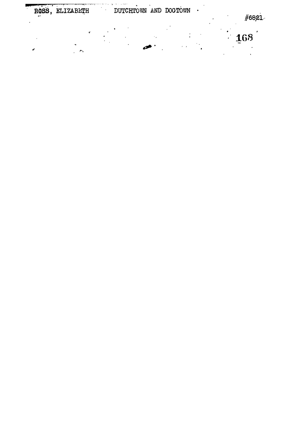ROSS, ELIZABETH

**168**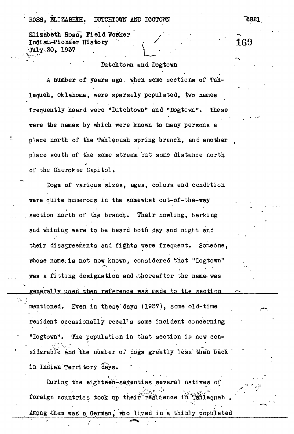## ROSS, ELIZABETH, DUTCHTOWN AND DOGTOWN 6821

Elizabeth Ross, Field Worker Indian-Pioneer History **69** and 169 20, 1937 . *\*

Ċ.

## Butchtown and Dogtown

A number of years ago, when some sections of Tahlequah, Oklahoma, were sparsely populated, two names frequently heard were "Dutchtown\* and "Dogtown". These were the names by which were known to many persons a place north of the Tahlequah spring branch, and another place south of the same stream but some distance north of the Cherokee Capitol.

Dogs of various sizes, ages, colors and condition were quite numerous in the somewhat out-of-the-way section north of the branch. Their howling, barking and whining were to be heard both day and night and their disagreements and fights were frequent. Someone, whose name: is not now known, considered that "Dogtown" was a fitting designation and thereafter the name was generally used when reference was made to the section mentioned. Even in these days (1937), some old-time resident occasionally recalls some incident concerning "Dogtown". The population in that section is now considerable and the number of dogs greatly less than back in Indian Territory days.

During the eighteen-seventies several natives of foreign countries took up their residence in Tanlequah Among them was a German, who lived in a thinly populated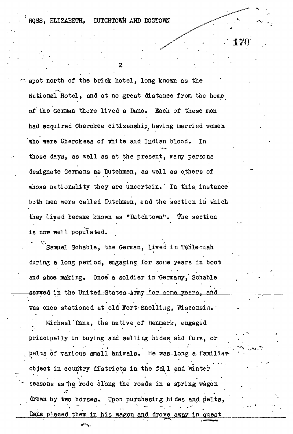ROSS. ELIZABETH. DUTCHTOWN AND DOGTOWN

**.170'**

 $\overline{2}$ 

spot north of the brick hotel, long known as the National Hotel, and at no great distance from the home of the German 'there lived a Dane. Each of these men had acquired Cherokee citizenship having married women who were Cherokees of white and Indian blood. In those days, as well as at the present, many persons designate Germans aa Dutchmen, as well as others of whose nationality they are uncertain. In this instance both men were called Dutchmen, and the section in which they lived became known as "Dutchtown". The section is now well populated.

Samuel Schable, the German, lived in Tahleouah during a long period, engaging for some years in boot and shoe making. Once a soldier in Germany, Schable served in the United States Amy for some years, and was once stationed at old Fort Snelling, Wisconsin.

Michael'Dana, the native of Denmark, engaged principally in buying and selling hides and furs, or pelts of various small animals. He was-long a familisr object in country districts in the fall and winter seasons as he rode along the roads in a spring wagon drawn by two horses. Upon purchasing hides and pelts, Dana placed them in his wagon and drove away in quest